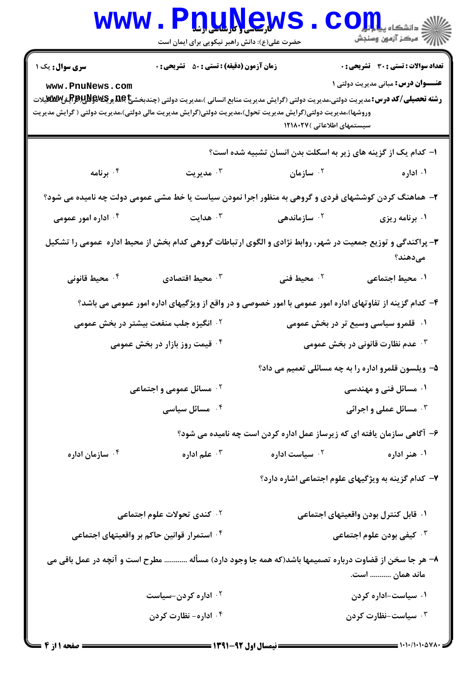|                                                                                                                                                        | www.P <u>nuŅe</u> ws<br>حضرت علی(ع): دانش راهبر نیکویی برای ایمان است                                |                                                                         | الاد دانشڪاء پيدا <mark>جارا</mark><br>الاج مرڪز آزمون وسنڊش                              |  |  |
|--------------------------------------------------------------------------------------------------------------------------------------------------------|------------------------------------------------------------------------------------------------------|-------------------------------------------------------------------------|-------------------------------------------------------------------------------------------|--|--|
| <b>سری سوال :</b> یک ۱<br>www.PnuNews.com<br>وروشها)،مدیریت دولتی(گرایش مدیریت تحول)،مدیریت دولتی(گرایش مدیریت مالی دولتی)،مدیریت دولتی ( گرایش مدیریت | <b>زمان آزمون (دقیقه) : تستی : 50 ٪ تشریحی : 0</b>                                                   | سیستمهای اطلاعاتی )۱۲۱۸۰۲۷                                              | <b>تعداد سوالات : تستی : 30 ٪ تشریحی : 0</b><br><b>عنـــوان درس:</b> مبانی مدیریت دولتی ۱ |  |  |
|                                                                                                                                                        |                                                                                                      | ۱– کدام یک از گزینه های زیر به اسکلت بدن انسان تشبیه شده است؟           |                                                                                           |  |  |
| ۰۴ برنامه                                                                                                                                              | مديريت $\cdot$                                                                                       | ۰ <sup>۲</sup> سازمان                                                   | ۰۱ اداره                                                                                  |  |  |
| ۲- هماهنگ کردن کوششهای فردی و گروهی به منظور اجرا نمودن سیاست یا خط مشی عمومی دولت چه نامیده می شود؟                                                   |                                                                                                      |                                                                         |                                                                                           |  |  |
| ۰۴ اداره امور عمومی                                                                                                                                    | هدایت $\cdot$                                                                                        | ۰ <sup>۲</sup> سازماندهی                                                | ۰۱ برنامه ریزی                                                                            |  |  |
| ۳- پراکندگی و توزیع جمعیت در شهر، روابط نژادی و الگوی ارتباطات گروهی کدام بخش از محیط اداره  عمومی را تشکیل<br>مىدھند؟                                 |                                                                                                      |                                                                         |                                                                                           |  |  |
| ۰۴ محیط قانونی                                                                                                                                         | محيط اقتصادى $\cdot$                                                                                 | ۰۲ محیط فنی                                                             | ۰۱ محیط اجتماعی                                                                           |  |  |
| ۴– کدام گزینه از تفاوتهای اداره امور عمومی با امور خصوصی و در واقع از ویژگیهای اداره امور عمومی می باشد؟                                               |                                                                                                      |                                                                         |                                                                                           |  |  |
| <b>گ انگیزه جلب منفعت بیشتر در بخش عمومی</b>                                                                                                           |                                                                                                      | ۰۱٪ قلمرو سیاسی وسیع تر در بخش عمومی                                    |                                                                                           |  |  |
| ۰۴ قیمت روز بازار در بخش عمومی                                                                                                                         |                                                                                                      | <b>۰۳ عدم نظارت قانونی در بخش عمومی</b>                                 |                                                                                           |  |  |
|                                                                                                                                                        |                                                                                                      | ۵– ویلسون قلمرو اداره را به چه مسائلی تعمیم می داد؟                     |                                                                                           |  |  |
| <sup>۲.</sup> مسائل عمومی و اجتماعی                                                                                                                    |                                                                                                      | ۰۱ مسائل فنی و مهندسی                                                   |                                                                                           |  |  |
| ۰ <sup>۴</sup> مسائل سیاسی                                                                                                                             |                                                                                                      | <b>۰۳ مسائل عملی و اجرائی</b>                                           |                                                                                           |  |  |
|                                                                                                                                                        |                                                                                                      | ۶– آگاهی سازمان یافته ای که زیرساز عمل اداره کردن است چه نامیده می شود؟ |                                                                                           |  |  |
| ۰۴ سازمان اداره                                                                                                                                        | علم اداره $\cdot$ "                                                                                  | ۰ <sup>۲</sup> سیاست اداره                                              | ۰۱ هنر اداره                                                                              |  |  |
|                                                                                                                                                        |                                                                                                      | ۷- کدام گزینه به ویژگیهای علوم اجتماعی اشاره دارد؟                      |                                                                                           |  |  |
| <b>10 كندى تحولات علوم اجتماعى</b>                                                                                                                     |                                                                                                      | ۰۱ قابل کنترل بودن واقعیتهای اجتماعی                                    |                                                                                           |  |  |
| <sup>۴</sup> ۰ استمرار قوانین حاکم بر واقعیتهای اجتماعی                                                                                                |                                                                                                      | ۰ <sup>۳</sup> کیفی بودن علوم اجتماعی                                   |                                                                                           |  |  |
|                                                                                                                                                        | ۸– هر جا سخن از قضاوت درباره تصمیمها باشد(که همه جا وجود دارد) مسأله  مطرح است و آنچه در عمل باقی می |                                                                         | ماند همان  است.                                                                           |  |  |
| ۰۲ اداره کردن-سیاست                                                                                                                                    |                                                                                                      | ۰۱ سیاست-اداره کردن                                                     |                                                                                           |  |  |
|                                                                                                                                                        | ۰۴ اداره- نظارت کردن                                                                                 |                                                                         | ۰۳ سیاست-نظارت کردن                                                                       |  |  |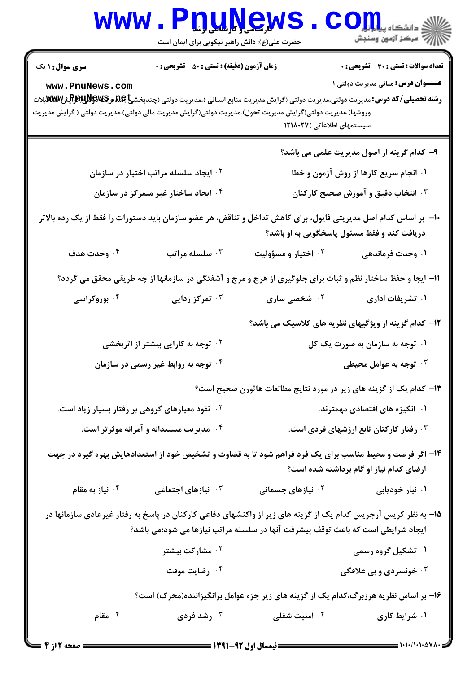| <b>WWW.</b>                                                                                                                                                                                                                                                                                                 | <b>T<u>. TIYGWS</u></b><br>حضرت علی(ع): دانش راهبر نیکویی برای ایمان است |                                                                                 | $\mathbf{CO}$ in in the set of $\mathbf{C}$<br>أأزاته مركز آزمون وسنجش                    |  |
|-------------------------------------------------------------------------------------------------------------------------------------------------------------------------------------------------------------------------------------------------------------------------------------------------------------|--------------------------------------------------------------------------|---------------------------------------------------------------------------------|-------------------------------------------------------------------------------------------|--|
| <b>سری سوال : ۱ یک</b><br>www.PnuNews.com<br><b>رشته تحصیلی/کد درس:</b> مدیریت دولتی،مدیریت دولتی (گرایش مدیریت منابع انسانی )،مدیریت دولتی (چندبخشج <b>) یو کیV&amp;W پرEلاپرB&amp;</b> گیلات<br>وروشها)،مدیریت دولتی(گرایش مدیریت تحول)،مدیریت دولتی(گرایش مدیریت مالی دولتی)،مدیریت دولتی ( گرایش مدیریت | زمان آزمون (دقیقه) : تستی : 50 ٪ تشریحی : 0                              | سیستمهای اطلاعاتی )۱۲۱۸۰۲۷                                                      | <b>تعداد سوالات : تستی : 30 ٪ تشریحی : 0</b><br><b>عنـــوان درس:</b> مبانی مدیریت دولتی ۱ |  |
|                                                                                                                                                                                                                                                                                                             |                                                                          |                                                                                 | ۹- کدام گزینه از اصول مدیریت علمی می باشد؟                                                |  |
| <sup>۲</sup> ۰ ایجاد سلسله مراتب اختیار در سازمان                                                                                                                                                                                                                                                           |                                                                          |                                                                                 | ۰۱ انجام سریع کارها از روش آزمون و خطا                                                    |  |
| ۰۴ ایجاد ساختار غیر متمرکز در سازمان                                                                                                                                                                                                                                                                        |                                                                          | انتخاب دقیق و آموزش صحیح کارکنان $\cdot$                                        |                                                                                           |  |
| ∙ا− بر اساس کدام اصل مدیریتی فایول، برای کاهش تداخل و تناقض، هر عضو سازمان باید دستورات را فقط از یک رده بالاتر<br>دریافت کند و فقط مسئول پاسخگویی به او باشد؟                                                                                                                                              |                                                                          |                                                                                 |                                                                                           |  |
| ۰۴ وحدت هدف                                                                                                                                                                                                                                                                                                 | سلسله مراتب $\cdot$                                                      | ۰ <sup>۲</sup> اختیار و مسؤولیت                                                 | ۰۱ وحدت فرماندهی                                                                          |  |
| 11- ایجا و حفظ ساختار نظم و ثبات برای جلوگیری از هرج و مرج و آشفتگی در سازمانها از چه طریقی محقق می گردد؟                                                                                                                                                                                                   |                                                                          |                                                                                 |                                                                                           |  |
| ۰۴ بوروکراسی                                                                                                                                                                                                                                                                                                | ۰ <sup>۳</sup> تمرکز زدایی                                               | <sup>۲.</sup> شخصی سازی                                                         | ۰۱ تشریفات اداری                                                                          |  |
|                                                                                                                                                                                                                                                                                                             |                                                                          |                                                                                 | ۱۲– کدام گزینه از ویژگیهای نظریه های کلاسیک می باشد؟                                      |  |
| <sup>۲ .</sup> توجه به کارایی بیشتر از اثربخشی                                                                                                                                                                                                                                                              |                                                                          | ۰۱ توجه به سازمان به صورت یک کل                                                 |                                                                                           |  |
| <sup>۰۴</sup> توجه به روابط غیر رسمی در سازمان                                                                                                                                                                                                                                                              |                                                                          | ۰۳ توجه به عوامل محیطی $\cdot$ ۳                                                |                                                                                           |  |
|                                                                                                                                                                                                                                                                                                             |                                                                          |                                                                                 | ۱۳– کدام یک از گزینه های زیر در مورد نتایج مطالعات هاثورن صحیح است؟                       |  |
| <sup>۲ .</sup> نفوذ معیارهای گروهی بر رفتار بسیار زیاد است.                                                                                                                                                                                                                                                 |                                                                          | ۰۱ انگیزه های اقتصادی مهمترند.                                                  |                                                                                           |  |
| ۰۴ مدیریت مستبدانه و آمرانه موثر تر است.                                                                                                                                                                                                                                                                    |                                                                          | ۰۳ رفتار کارکنان تابع ارزشهای فردی است.                                         |                                                                                           |  |
| ۱۴– اگر فرصت و محیط مناسب برای یک فرد فراهم شود تا به قضاوت و تشخیص خود از استعدادهایش بهره گیرد در جهت<br>ارضای کدام نیاز او گام برداشته شده است؟                                                                                                                                                          |                                                                          |                                                                                 |                                                                                           |  |
| نياز به مقام $\cdot$ ۴                                                                                                                                                                                                                                                                                      | <b>۳. نیازهای اجتماعی</b>                                                | ۰ <sup>۲</sup> نیازهای جسمانی                                                   | ۰۱ نیار خودیابی                                                                           |  |
| ۱۵– به نظر کریس آرجریس کدام یک از گزینه های زیر از واکنشهای دفاعی کارکنان در پاسخ به رفتار غیرعادی سازمانها در                                                                                                                                                                                              |                                                                          | ایجاد شرایطی است که باعث توقف پیشرفت آنها در سلسله مراتب نیازها می شود؛می باشد؟ |                                                                                           |  |
|                                                                                                                                                                                                                                                                                                             | ۰ <sup>۲</sup> مشارکت بیشتر                                              |                                                                                 | ۰۱ تشکیل گروه رسمی                                                                        |  |
|                                                                                                                                                                                                                                                                                                             | ۰۴ رضایت موقت                                                            |                                                                                 | ۰ <sup>۳</sup> خونسردی و بی علاقگی                                                        |  |
|                                                                                                                                                                                                                                                                                                             |                                                                          |                                                                                 | ۱۶– بر اساس نظریه هرزبرگ،کدام یک از گزینه های زیر جزء عوامل برانگیزاننده(محرک) است؟       |  |
| ۰۴ مقام                                                                                                                                                                                                                                                                                                     | ۰۳ رشد فردی                                                              | ۰ <sup>۲</sup> امنیت شغلی                                                       | ۰۱ شرایط کاری                                                                             |  |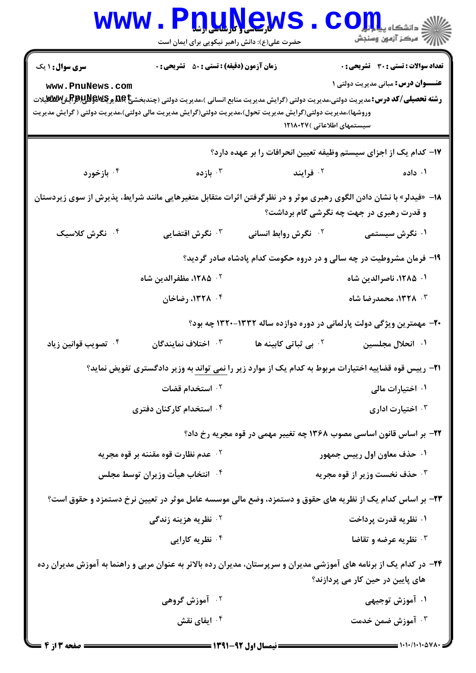| <b>WWW</b>                                                                                                                                                                                                                                                                                                  | حضرت علی(ع): دانش راهبر نیکویی برای ایمان است                                                                                                                  | <u>DTWGWS</u>                                                                                                       | $\mathbf{C}\mathbf{O}$ إلى الشكاه ب                                                       |  |
|-------------------------------------------------------------------------------------------------------------------------------------------------------------------------------------------------------------------------------------------------------------------------------------------------------------|----------------------------------------------------------------------------------------------------------------------------------------------------------------|---------------------------------------------------------------------------------------------------------------------|-------------------------------------------------------------------------------------------|--|
| <b>سری سوال : ۱ یک</b><br>www.PnuNews.com<br><b>رشته تحصیلی/کد درس:</b> مدیریت دولتی،مدیریت دولتی (گرایش مدیریت منابع انسانی )،مدیریت دولتی (چندبخشج <b>) یو کیV&amp;W پرEلاپرB&amp;</b> گیلات<br>وروشها)،مدیریت دولتی(گرایش مدیریت تحول)،مدیریت دولتی(گرایش مدیریت مالی دولتی)،مدیریت دولتی ( گرایش مدیریت | <b>زمان آزمون (دقیقه) : تستی : 50 ٪ تشریحی : 0</b>                                                                                                             | سیستمهای اطلاعاتی )۱۲۱۸۰۲۷                                                                                          | <b>تعداد سوالات : تستی : 30 ٪ تشریحی : 0</b><br><b>عنـــوان درس:</b> مبانی مدیریت دولتی ۱ |  |
|                                                                                                                                                                                                                                                                                                             |                                                                                                                                                                | ۱۷– کدام یک از اجزای سیستم وظیفه تعیین انحرافات را بر عهده دارد؟                                                    |                                                                                           |  |
| ا بازخورد $\cdot$ ۴                                                                                                                                                                                                                                                                                         | ا بازده $\cdot$                                                                                                                                                | ۰۲ فرایند                                                                                                           | ۰۱ داده                                                                                   |  |
|                                                                                                                                                                                                                                                                                                             | ۱۸−  «فیدلر» با نشان دادن الگوی رهبری موثر و در نظرگرفتن اثرات متقابل متغیرهایی مانند شرایط، پذیرش از سوی زیردستان<br>و قدرت رهبری در جهت چه نگرشی گام برداشت؟ |                                                                                                                     |                                                                                           |  |
| ۰۴ نگرش کلاسیک                                                                                                                                                                                                                                                                                              | نگرش اقتضایی $\cdot$                                                                                                                                           | <b>7 قگرش روابط انسانی</b>                                                                                          | ۰۱ نگرش سیستمی                                                                            |  |
| ۱۹- فرمان مشروطیت در چه سالی و در دروه حکومت کدام پادشاه صادر گردید؟                                                                                                                                                                                                                                        |                                                                                                                                                                |                                                                                                                     |                                                                                           |  |
|                                                                                                                                                                                                                                                                                                             | ۰۲ <b>۱۲۸۵</b> ، مظفرالدین شاه                                                                                                                                 |                                                                                                                     | ۰۱ ۱۲۸۵، ناصرالدین شاه                                                                    |  |
|                                                                                                                                                                                                                                                                                                             | ۰۴ ۱۳۲۸، رضاخان                                                                                                                                                |                                                                                                                     | ۰۳ ـ ۱۳۲۸، محمدرضا شاه                                                                    |  |
|                                                                                                                                                                                                                                                                                                             |                                                                                                                                                                | ۲۰– مهمترین ویژگی دولت پارلمانی در دوره دوازده ساله ۱۳۳۲–۱۳۲۰ چه بود؟                                               |                                                                                           |  |
| ۰ <sup>۴</sup> تصویب قوانین زیاد                                                                                                                                                                                                                                                                            | اختلاف نمايندگان $\cdot$ "                                                                                                                                     | <sup>۲.</sup> بی ثباتی کابینه ها                                                                                    | ۰۱ انحلال مجلسین                                                                          |  |
| <b>۳۱</b> - رییس قوه قضاییه اختیارات مربوط به کدام یک از موارد زیر را <u>نمی تواند</u> به وزیر دادگستری تفویض نماید؟                                                                                                                                                                                        |                                                                                                                                                                |                                                                                                                     |                                                                                           |  |
| ۰ <sup>۲</sup> استخدام قضات                                                                                                                                                                                                                                                                                 |                                                                                                                                                                | ۰۱ اختیارات مالی                                                                                                    |                                                                                           |  |
| ۰۴ استخدام کارکنان دفتری                                                                                                                                                                                                                                                                                    |                                                                                                                                                                | ۰۳ اختیارت اداری                                                                                                    |                                                                                           |  |
|                                                                                                                                                                                                                                                                                                             |                                                                                                                                                                | ۲۲- بر اساس قانون اساسی مصوب ۱۳۶۸ چه تغییر مهمی در قوه مجریه رخ داد؟                                                |                                                                                           |  |
| <sup>۲</sup> ۰ عدم نظارت قوه مقننه بر قوه مجریه                                                                                                                                                                                                                                                             |                                                                                                                                                                | ۰۱ حذف معاون اول رییس جمهور                                                                                         |                                                                                           |  |
| ۰۴ انتخاب هيأت وزيران توسط مجلس                                                                                                                                                                                                                                                                             |                                                                                                                                                                | ۰ <sup>۳</sup> حذف نخست وزير از قوه مجريه                                                                           |                                                                                           |  |
| ۲۳- بر اساس کدام یک از نظریه های حقوق و دستمزد، وضع مالی موسسه عامل موثر در تعیین نرخ دستمزد و حقوق است؟                                                                                                                                                                                                    |                                                                                                                                                                |                                                                                                                     |                                                                                           |  |
|                                                                                                                                                                                                                                                                                                             | ۰ <sup>۲</sup> نظریه هزینه زندگی                                                                                                                               |                                                                                                                     | ۰۱ نظریه قدرت پرداخت                                                                      |  |
|                                                                                                                                                                                                                                                                                                             | ۰۴ نظریه کارایی                                                                                                                                                |                                                                                                                     | <b>۳ نظریه عرضه و تقاضا</b>                                                               |  |
|                                                                                                                                                                                                                                                                                                             |                                                                                                                                                                | ۲۴– در کدام یک از برنامه های آموزشی مدیران و سرپرستان، مدیران رده بالاتر به عنوان مربی و راهنما به آموزش مدیران رده | های پایین در حین کار می پردازند؟                                                          |  |
|                                                                                                                                                                                                                                                                                                             | ۰ <sup>۲</sup> آموزش گروهی                                                                                                                                     |                                                                                                                     | ۰۱ آموزش توجیهی                                                                           |  |
|                                                                                                                                                                                                                                                                                                             | ۰ <sup>۴</sup> ایفای نقش                                                                                                                                       |                                                                                                                     | ۰ <sup>۳ آ</sup> موزش ضمن خدمت                                                            |  |
| صفحه 13 ا: 4                                                                                                                                                                                                                                                                                                |                                                                                                                                                                |                                                                                                                     |                                                                                           |  |